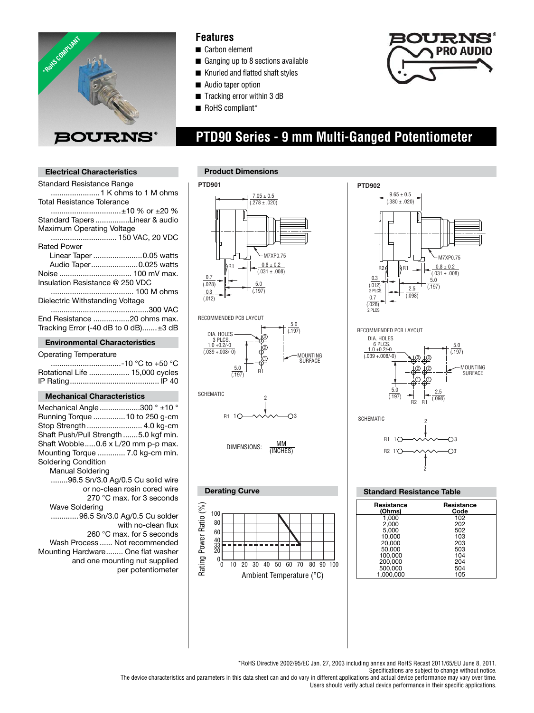

### **Features**

- Carbon element
- Ganging up to 8 sections available
- Knurled and flatted shaft styles
- Audio taper option
- Tracking error within 3 dB
- RoHS compliant\*



**Electrical Characteristics**

 **PTD90 Series - 9 mm Multi-Ganged Potentiometer**

| <b>Standard Resistance Range</b>                                                                                                                                                                                                                                                                                                                                                                                                               |
|------------------------------------------------------------------------------------------------------------------------------------------------------------------------------------------------------------------------------------------------------------------------------------------------------------------------------------------------------------------------------------------------------------------------------------------------|
| <b>Total Resistance Tolerance</b><br>±10 % or ±20 %                                                                                                                                                                                                                                                                                                                                                                                            |
| Standard Tapers Linear & audio<br>Maximum Operating Voltage                                                                                                                                                                                                                                                                                                                                                                                    |
| 150 VAC, 20 VDC<br><b>Rated Power</b>                                                                                                                                                                                                                                                                                                                                                                                                          |
| Linear Taper 0.05 watts<br>Audio Taper0.025 watts                                                                                                                                                                                                                                                                                                                                                                                              |
| Noise  100 mV max.<br>Insulation Resistance @ 250 VDC                                                                                                                                                                                                                                                                                                                                                                                          |
| Dielectric Withstanding Voltage                                                                                                                                                                                                                                                                                                                                                                                                                |
| End Resistance 20 ohms max.<br>Tracking Error (-40 dB to 0 dB)±3 dB                                                                                                                                                                                                                                                                                                                                                                            |
| <b>Environmental Characteristics</b>                                                                                                                                                                                                                                                                                                                                                                                                           |
| <b>Operating Temperature</b>                                                                                                                                                                                                                                                                                                                                                                                                                   |
|                                                                                                                                                                                                                                                                                                                                                                                                                                                |
| -10 °C to +50 °C<br>Rotational Life  15,000 cycles                                                                                                                                                                                                                                                                                                                                                                                             |
| <b>Mechanical Characteristics</b>                                                                                                                                                                                                                                                                                                                                                                                                              |
| Mechanical Angle 300 ° ±10 °<br>Running Torque  10 to 250 g-cm<br>Stop Strength  4.0 kg-cm<br>Shaft Push/Pull Strength 5.0 kgf min.<br>Shaft Wobble0.6 x L/20 mm p-p max.<br>Mounting Torque  7.0 kg-cm min.<br>Soldering Condition<br><b>Manual Soldering</b><br>96.5 Sn/3.0 Ag/0.5 Cu solid wire<br>or no-clean rosin cored wire<br>270 °C max. for 3 seconds<br><b>Wave Soldering</b><br>96.5 Sn/3.0 Ag/0.5 Cu solder<br>with no-clean flux |

 260 °C max. for 5 seconds Wash Process ...... Not recommended Mounting Hardware ........ One flat washer and one mounting nut supplied per potentiometer







| <b>Standard Resistance Table</b> |                    |  |  |
|----------------------------------|--------------------|--|--|
| Resistance<br>(Ohms)             | Resistance<br>Code |  |  |
| 1,000                            | 102                |  |  |
| 2.000                            | 202                |  |  |
| 5.000                            | 502                |  |  |
| 10.000                           | 103                |  |  |
| 20.000                           | 203                |  |  |
| 50.000                           | 503                |  |  |
| 100,000                          | 104                |  |  |
| 200,000                          | 204                |  |  |
| 500,000                          | 504                |  |  |
| 1.000.000                        | 105                |  |  |

\*RoHS Directive 2002/95/EC Jan. 27, 2003 including annex and RoHS Recast 2011/65/EU June 8, 2011. Specifications are subject to change without notice.

The device characteristics and parameters in this data sheet can and do vary in different applications and actual device performance may vary over time. Users should verify actual device performance in their specific applications.

Ambient Temperature (°C) 10 20 40 50 60 70 80 90 100 30

0

0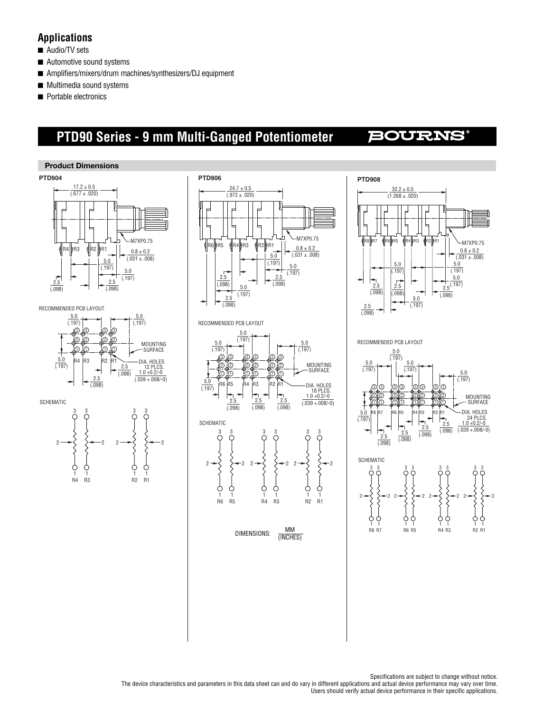## **Applications**

- Audio/TV sets
- Automotive sound systems
- Amplifiers/mixers/drum machines/synthesizers/DJ equipment
- Multimedia sound systems
- Portable electronics

# **PTD90 Series - 9 mm Multi-Ganged Potentiometer**

# **BOURNS®**



Specifications are subject to change without notice. The device characteristics and parameters in this data sheet can and do vary in different applications and actual device performance may vary over time. Users should verify actual device performance in their specific applications.